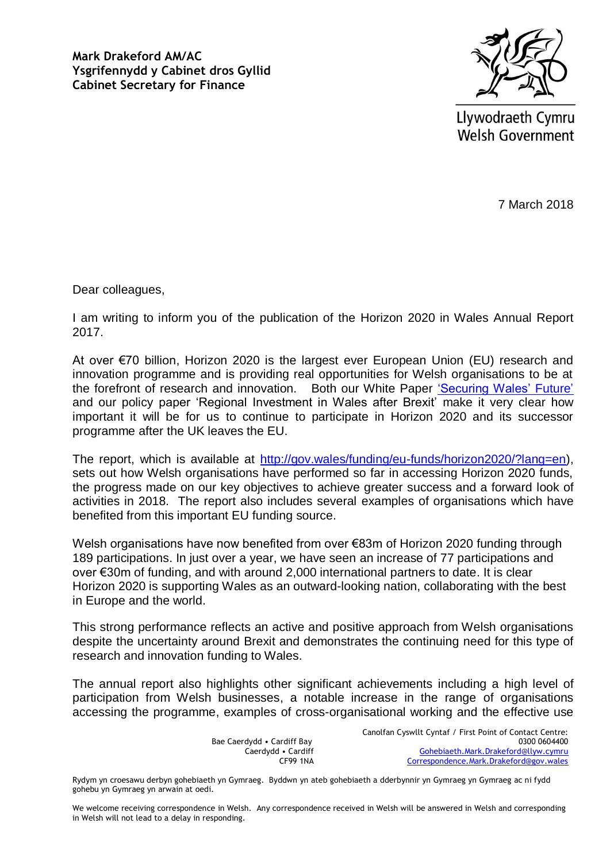**Mark Drakeford AM/AC Ysgrifennydd y Cabinet dros Gyllid Cabinet Secretary for Finance** 



Llywodraeth Cymru **Welsh Government** 

7 March 2018

Dear colleagues,

I am writing to inform you of the publication of the Horizon 2020 in Wales Annual Report 2017.

At over €70 billion, Horizon 2020 is the largest ever European Union (EU) research and innovation programme and is providing real opportunities for Welsh organisations to be at the forefront of research and innovation. Both our White Paper 'Securing Wales' Future' and our policy paper 'Regional Investment in Wales after Brexit' make it very clear how important it will be for us to continue to participate in Horizon 2020 and its successor programme after the UK leaves the EU.

The report, which is available at [http://gov.wales/funding/eu-funds/horizon2020/?lang=en\)](http://gov.wales/funding/eu-funds/horizon2020/?lang=en), sets out how Welsh organisations have performed so far in accessing Horizon 2020 funds, the progress made on our key objectives to achieve greater success and a forward look of activities in 2018. The report also includes several examples of organisations which have benefited from this important EU funding source.

Welsh organisations have now benefited from over €83m of Horizon 2020 funding through 189 participations. In just over a year, we have seen an increase of 77 participations and over €30m of funding, and with around 2,000 international partners to date. It is clear Horizon 2020 is supporting Wales as an outward-looking nation, collaborating with the best in Europe and the world.

This strong performance reflects an active and positive approach from Welsh organisations despite the uncertainty around Brexit and demonstrates the continuing need for this type of research and innovation funding to Wales.

The annual report also highlights other significant achievements including a high level of participation from Welsh businesses, a notable increase in the range of organisations accessing the programme, examples of cross-organisational working and the effective use

> Bae Caerdydd • Cardiff Bay Caerdydd • Cardiff CF99 1NA

Canolfan Cyswllt Cyntaf / First Point of Contact Centre: 0300 0604400 [Gohebiaeth.Mark.Drakeford@llyw.cymru](mailto:Gohebiaeth.Mark.Drakeford@llyw.cymru) [Correspondence.Mark.Drakeford@gov.wales](mailto:Correspondence.Mark.Drakeford@gov.wales)

Rydym yn croesawu derbyn gohebiaeth yn Gymraeg. Byddwn yn ateb gohebiaeth a dderbynnir yn Gymraeg yn Gymraeg ac ni fydd gohebu yn Gymraeg yn arwain at oedi.

We welcome receiving correspondence in Welsh. Any correspondence received in Welsh will be answered in Welsh and corresponding in Welsh will not lead to a delay in responding.